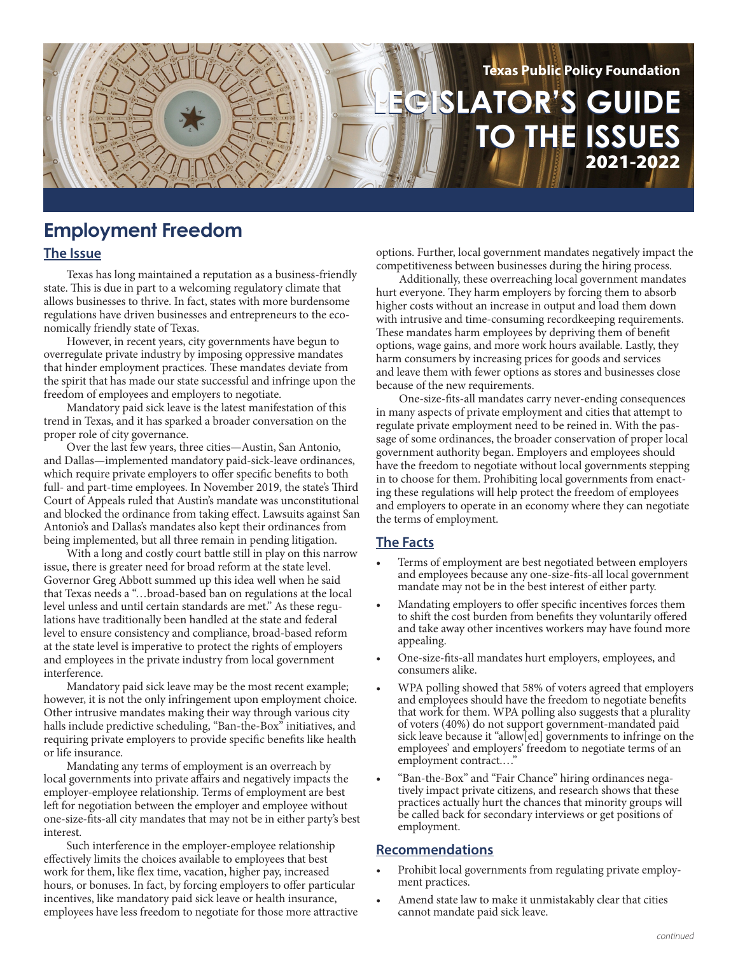

# **Employment Freedom**

### **The Issue**

Texas has long maintained a reputation as a business-friendly state. This is due in part to a welcoming regulatory climate that allows businesses to thrive. In fact, states with more burdensome regulations have driven businesses and entrepreneurs to the economically friendly state of Texas.

However, in recent years, city governments have begun to overregulate private industry by imposing oppressive mandates that hinder employment practices. These mandates deviate from the spirit that has made our state successful and infringe upon the freedom of employees and employers to negotiate.

Mandatory paid sick leave is the latest manifestation of this trend in Texas, and it has sparked a broader conversation on the proper role of city governance.

Over the last few years, three cities—Austin, San Antonio, and Dallas—implemented mandatory paid-sick-leave ordinances, which require private employers to offer specific benefits to both full- and part-time employees. In November 2019, the state's Third Court of Appeals ruled that Austin's mandate was unconstitutional and blocked the ordinance from taking effect. Lawsuits against San Antonio's and Dallas's mandates also kept their ordinances from being implemented, but all three remain in pending litigation.

With a long and costly court battle still in play on this narrow issue, there is greater need for broad reform at the state level. Governor Greg Abbott summed up this idea well when he said that Texas needs a "…broad-based ban on regulations at the local level unless and until certain standards are met." As these regulations have traditionally been handled at the state and federal level to ensure consistency and compliance, broad-based reform at the state level is imperative to protect the rights of employers and employees in the private industry from local government interference.

Mandatory paid sick leave may be the most recent example; however, it is not the only infringement upon employment choice. Other intrusive mandates making their way through various city halls include predictive scheduling, "Ban-the-Box" initiatives, and requiring private employers to provide specific benefits like health or life insurance.

Mandating any terms of employment is an overreach by local governments into private affairs and negatively impacts the employer-employee relationship. Terms of employment are best left for negotiation between the employer and employee without one-size-fits-all city mandates that may not be in either party's best interest.

Such interference in the employer-employee relationship effectively limits the choices available to employees that best work for them, like flex time, vacation, higher pay, increased hours, or bonuses. In fact, by forcing employers to offer particular incentives, like mandatory paid sick leave or health insurance, employees have less freedom to negotiate for those more attractive options. Further, local government mandates negatively impact the competitiveness between businesses during the hiring process.

Additionally, these overreaching local government mandates hurt everyone. They harm employers by forcing them to absorb higher costs without an increase in output and load them down with intrusive and time-consuming recordkeeping requirements. These mandates harm employees by depriving them of benefit options, wage gains, and more work hours available. Lastly, they harm consumers by increasing prices for goods and services and leave them with fewer options as stores and businesses close because of the new requirements.

One-size-fits-all mandates carry never-ending consequences in many aspects of private employment and cities that attempt to regulate private employment need to be reined in. With the passage of some ordinances, the broader conservation of proper local government authority began. Employers and employees should have the freedom to negotiate without local governments stepping in to choose for them. Prohibiting local governments from enacting these regulations will help protect the freedom of employees and employers to operate in an economy where they can negotiate the terms of employment.

# **The Facts**

- Terms of employment are best negotiated between employers and employees because any one-size-fits-all local government mandate may not be in the best interest of either party.
- Mandating employers to offer specific incentives forces them to shift the cost burden from benefits they voluntarily offered and take away other incentives workers may have found more appealing.
- One-size-fits-all mandates hurt employers, employees, and consumers alike.
- WPA polling showed that 58% of voters agreed that employers and employees should have the freedom to negotiate benefits that work for them. WPA polling also suggests that a plurality of voters (40%) do not support government-mandated paid sick leave because it "allow[ed] governments to infringe on the employees' and employers' freedom to negotiate terms of an employment contract....
- "Ban-the-Box" and "Fair Chance" hiring ordinances negatively impact private citizens, and research shows that these practices actually hurt the chances that minority groups will be called back for secondary interviews or get positions of employment.

# **Recommendations**

- Prohibit local governments from regulating private employment practices.
- Amend state law to make it unmistakably clear that cities cannot mandate paid sick leave.